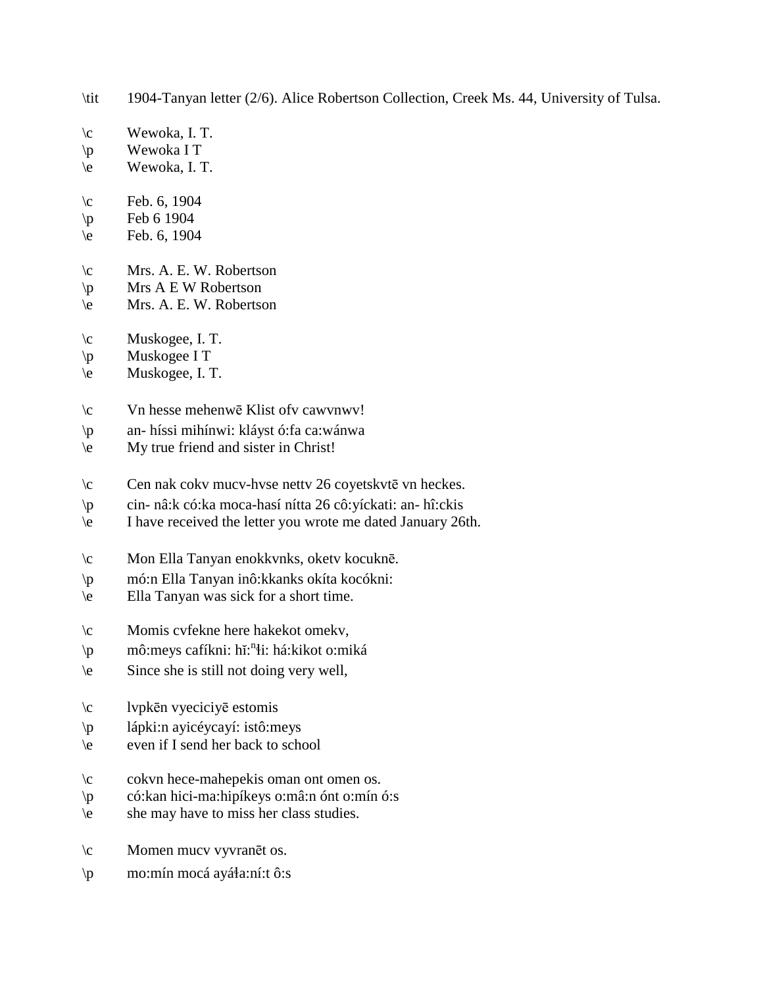- \tit 1904-Tanyan letter (2/6). Alice Robertson Collection, Creek Ms. 44, University of Tulsa.
- \c Wewoka, I. T.
- \p Wewoka I T
- \e Wewoka, I. T.
- $\c$  Feb. 6, 1904
- $\pmb{\text{p}}$  Feb 6 1904
- \e Feb. 6, 1904
- \c Mrs. A. E. W. Robertson
- $\pmb{\varphi}$  Mrs A E W Robertson
- \e Mrs. A. E. W. Robertson
- \c Muskogee, I. T.
- \p Muskogee I T
- \e Muskogee, I. T.
- \c Vn hesse mehenwē Klist ofv cawvnwv!
- \p an- híssi mihínwi: kláyst ó:fa ca:wánwa
- \e My true friend and sister in Christ!
- \c Cen nak cokv mucv-hvse nettv 26 coyetskvtē vn heckes.
- \p cin- nâ:k có:ka moca-hasí nítta 26 cô:yíckati: an- hî:ckis
- \e I have received the letter you wrote me dated January 26th.
- \c Mon Ella Tanyan enokkvnks, oketv kocuknē.
- \p mó:n Ella Tanyan inô:kkanks okíta kocókni:
- \e Ella Tanyan was sick for a short time.
- \c Momis cvfekne here hakekot omekv,
- \p mô:meys cafíkni: hĭ: n !i: há:kikot o:miká
- \e Since she is still not doing very well,
- \c lvpkēn vyeciciyē estomis
- \p lápki:n ayicéycayí: istô:meys
- \e even if I send her back to school
- \c cokvn hece-mahepekis oman ont omen os.
- \p có:kan hici-ma:hipíkeys o:mâ:n ónt o:mín ó:s
- \e she may have to miss her class studies.
- \c Momen mucv vyvranēt os.
- \p mo:mín mocá ayá!a:ní:t ô:s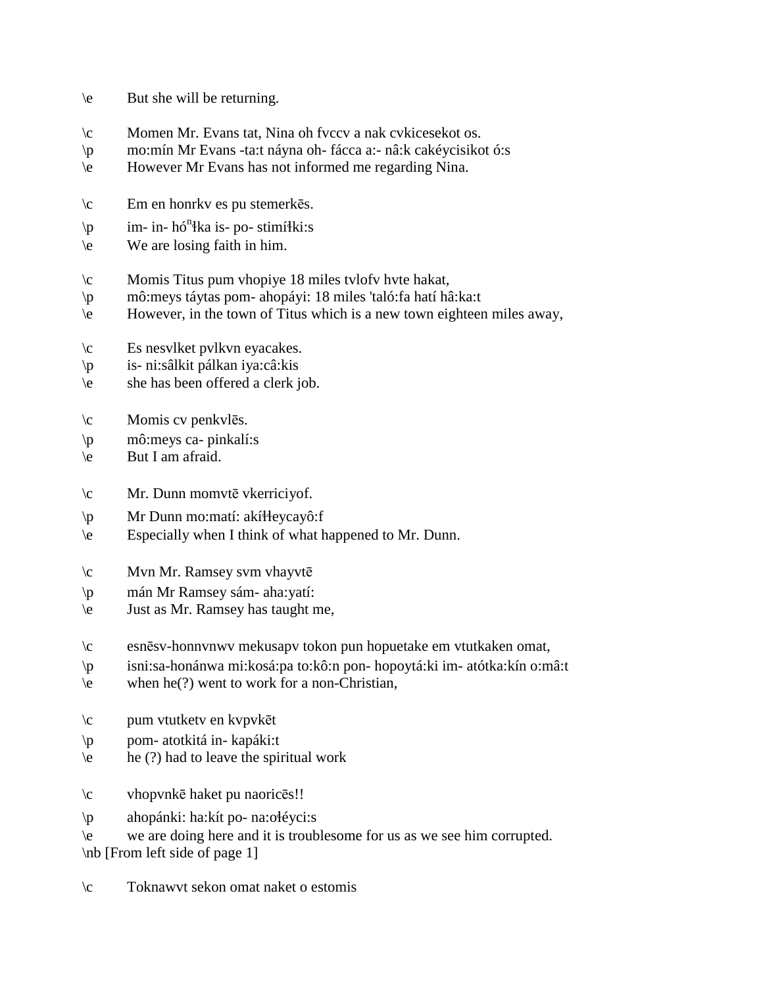- \e But she will be returning.
- \c Momen Mr. Evans tat, Nina oh fvccv a nak cvkicesekot os.
- \p mo:mín Mr Evans -ta:t náyna oh- fácca a:- nâ:k cakéycisikot ó:s
- \e However Mr Evans has not informed me regarding Nina.
- \c Em en honrkv es pu stemerkēs.
- \p im- in- hó<sup>n</sup>łka is- po- stimíłki:s
- \e We are losing faith in him.
- \c Momis Titus pum vhopiye 18 miles tvlofv hvte hakat,
- \p mô:meys táytas pom- ahopáyi: 18 miles 'taló:fa hatí hâ:ka:t
- \e However, in the town of Titus which is a new town eighteen miles away,
- \c Es nesvlket pvlkvn eyacakes.
- \p is- ni:sâlkit pálkan iya:câ:kis
- \e she has been offered a clerk job.
- \c Momis cv penkvlēs.
- \p mô:meys ca- pinkalí:s
- \e But I am afraid.
- \c Mr. Dunn momvtē vkerriciyof.
- \p Mr Dunn mo:matí: akí\eycayô:f
- \e Especially when I think of what happened to Mr. Dunn.
- \c Mvn Mr. Ramsey svm vhayvtē
- \p mán Mr Ramsey sám- aha:yatí:
- \e Just as Mr. Ramsey has taught me,
- \c esnēsv-honnvnwv mekusapv tokon pun hopuetake em vtutkaken omat,
- \p isni:sa-honánwa mi:kosá:pa to:kô:n pon- hopoytá:ki im- atótka:kín o:mâ:t
- $\leq$  when he(?) went to work for a non-Christian,
- \c pum vtutketv en kvpvkēt
- \p pom- atotkitá in- kapáki:t
- \e he (?) had to leave the spiritual work
- \c vhopvnkē haket pu naoricēs!!
- \p ahopánki: ha:kít po- na:o!éyci:s
- \e we are doing here and it is troublesome for us as we see him corrupted.

\nb [From left side of page 1]

\c Toknawvt sekon omat naket o estomis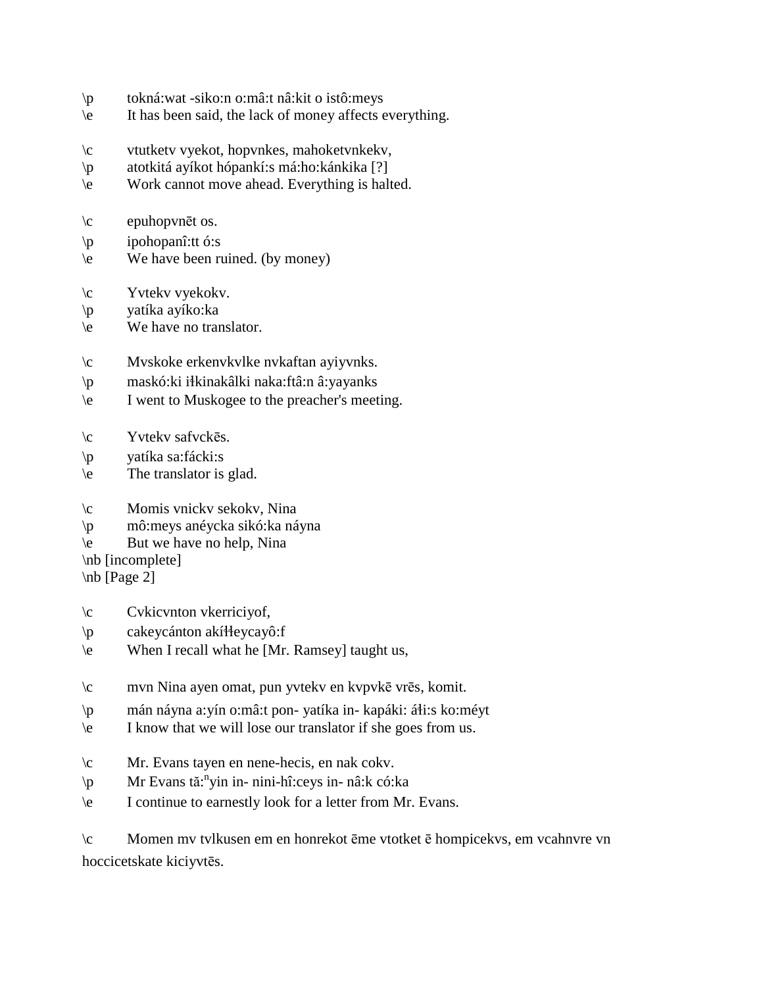- \p tokná:wat -siko:n o:mâ:t nâ:kit o istô:meys
- \e It has been said, the lack of money affects everything.
- \c vtutketv vyekot, hopvnkes, mahoketvnkekv,
- \p atotkitá ayíkot hópankí:s má:ho:kánkika [?]
- \e Work cannot move ahead. Everything is halted.
- $\c$  epuhopvnēt os.
- \p ipohopanî:tt ó:s
- \e We have been ruined. (by money)
- \c Yvtekv vyekokv.
- \p yatíka ayíko:ka
- \e We have no translator.
- \c Mvskoke erkenvkvlke nvkaftan ayiyvnks.
- \p maskó:ki i!kinakâlki naka:ftâ:n â:yayanks
- \e I went to Muskogee to the preacher's meeting.
- \c Yvtekv safvckēs.
- \p yatíka sa:fácki:s
- \e The translator is glad.
- \c Momis vnickv sekokv, Nina
- \p mô:meys anéycka sikó:ka náyna
- \e But we have no help, Nina
- \nb [incomplete]
- \nb [Page 2]
- \c Cvkicvnton vkerriciyof,
- \p cakeycánton akí!!eycayô:f
- \e When I recall what he [Mr. Ramsey] taught us,
- \c mvn Nina ayen omat, pun yvtekv en kvpvkē vrēs, komit.
- \p mán náyna a:yín o:mâ:t pon- yatíka in- kapáki: áłi:s ko:méyt
- \e I know that we will lose our translator if she goes from us.
- \c Mr. Evans tayen en nene-hecis, en nak cokv.
- \p Mr Evans tă: n yin in- nini-hî:ceys in- nâ:k có:ka
- \e I continue to earnestly look for a letter from Mr. Evans.

\c Momen mv tvlkusen em en honrekot ēme vtotket ē hompicekvs, em vcahnvre vn hoccicetskate kiciyvtēs.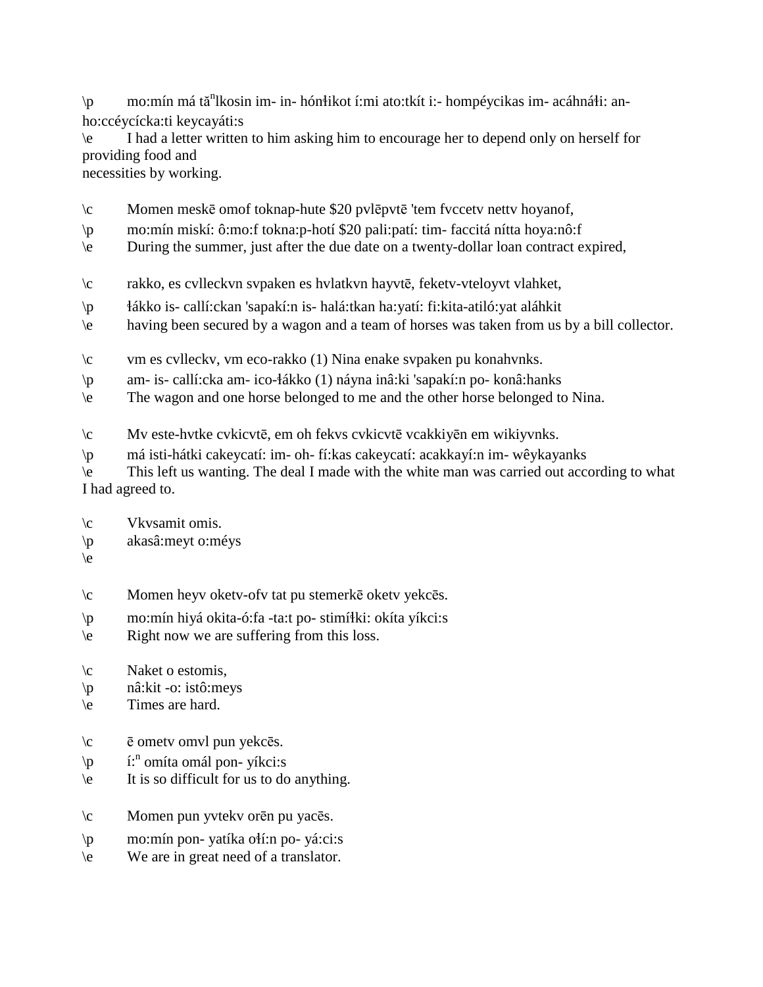\p mo:mín má tă<sup>n</sup>lkosin im- in- hónłikot í:mi ato:tkít i:- hompéycikas im- acáhnáłi: anho:ccéycícka:ti keycayáti:s

\e I had a letter written to him asking him to encourage her to depend only on herself for providing food and

necessities by working.

- \c Momen meskē omof toknap-hute \$20 pvlēpvtē 'tem fvccetv nettv hoyanof,
- \p mo:mín miskí: ô:mo:f tokna:p-hotí \$20 pali:patí: tim- faccitá nítta hoya:nô:f
- \e During the summer, just after the due date on a twenty-dollar loan contract expired,
- \c rakko, es cvlleckvn svpaken es hvlatkvn hayvtē, feketv-vteloyvt vlahket,
- \p !ákko is- callí:ckan 'sapakí:n is- halá:tkan ha:yatí: fi:kita-atiló:yat aláhkit
- \e having been secured by a wagon and a team of horses was taken from us by a bill collector.
- \c vm es cvlleckv, vm eco-rakko (1) Nina enake svpaken pu konahvnks.
- \p am- is- callí:cka am- ico-!ákko (1) náyna inâ:ki 'sapakí:n po- konâ:hanks
- \e The wagon and one horse belonged to me and the other horse belonged to Nina.

\c Mv este-hvtke cvkicvtē, em oh fekvs cvkicvtē vcakkiyēn em wikiyvnks.

\p má isti-hátki cakeycatí: im- oh- fí:kas cakeycatí: acakkayí:n im- wêykayanks

\e This left us wanting. The deal I made with the white man was carried out according to what I had agreed to.

- \c Vkvsamit omis.
- \p akasâ:meyt o:méys
- $\langle e \rangle$
- \c Momen heyv oketv-ofv tat pu stemerkē oketv yekcēs.
- \p mo:mín hiyá okita-ó:fa -ta:t po- stimí!ki: okíta yíkci:s
- \e Right now we are suffering from this loss.
- \c Naket o estomis,
- \p nâ:kit -o: istô:meys
- \e Times are hard.
- \c ē ometv omvl pun yekcēs.
- \p i:<sup>n</sup> omíta omál pon- yíkci:s
- \e It is so difficult for us to do anything.
- \c Momen pun yvtekv orēn pu yacēs.
- $\mathbf{p}$  mo:mín pon- yatíka o $\mathbf{i}$ :n po- yá:ci:s
- \e We are in great need of a translator.